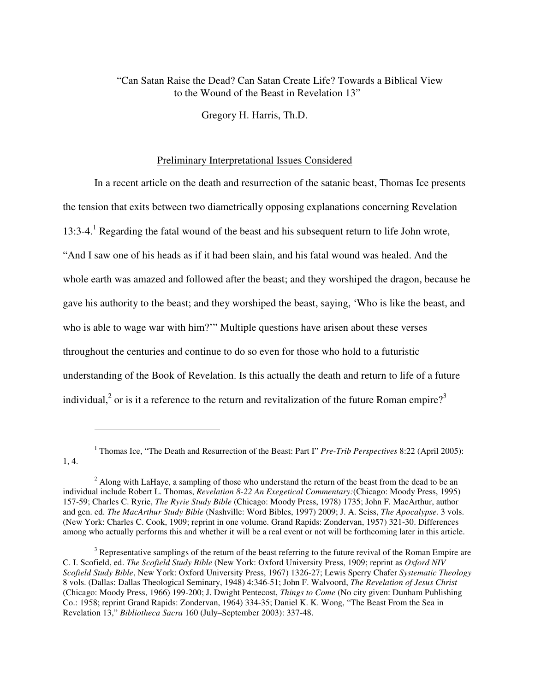## "Can Satan Raise the Dead? Can Satan Create Life? Towards a Biblical View to the Wound of the Beast in Revelation 13"

Gregory H. Harris, Th.D.

# Preliminary Interpretational Issues Considered

In a recent article on the death and resurrection of the satanic beast, Thomas Ice presents the tension that exits between two diametrically opposing explanations concerning Revelation 13:3-4.<sup>1</sup> Regarding the fatal wound of the beast and his subsequent return to life John wrote, "And I saw one of his heads as if it had been slain, and his fatal wound was healed. And the whole earth was amazed and followed after the beast; and they worshiped the dragon, because he gave his authority to the beast; and they worshiped the beast, saying, 'Who is like the beast, and who is able to wage war with him?'" Multiple questions have arisen about these verses throughout the centuries and continue to do so even for those who hold to a futuristic understanding of the Book of Revelation. Is this actually the death and return to life of a future individual,<sup>2</sup> or is it a reference to the return and revitalization of the future Roman empire?<sup>3</sup>

<sup>1</sup> Thomas Ice, "The Death and Resurrection of the Beast: Part I" *Pre-Trib Perspectives* 8:22 (April 2005): 1, 4.

 $2$  Along with LaHaye, a sampling of those who understand the return of the beast from the dead to be an individual include Robert L. Thomas, *Revelation 8-22 An Exegetical Commentary:*(Chicago: Moody Press, 1995) 157-59; Charles C. Ryrie, *The Ryrie Study Bible* (Chicago: Moody Press, 1978) 1735; John F. MacArthur, author and gen. ed. *The MacArthur Study Bible* (Nashville: Word Bibles, 1997) 2009; J. A. Seiss, *The Apocalypse.* 3 vols. (New York: Charles C. Cook, 1909; reprint in one volume. Grand Rapids: Zondervan, 1957) 321-30. Differences among who actually performs this and whether it will be a real event or not will be forthcoming later in this article.

 $3$  Representative samplings of the return of the beast referring to the future revival of the Roman Empire are C. I. Scofield, ed. *The Scofield Study Bible* (New York: Oxford University Press, 1909; reprint as *Oxford NIV Scofield Study Bible*, New York: Oxford University Press, 1967) 1326-27; Lewis Sperry Chafer *Systematic Theology*  8 vols. (Dallas: Dallas Theological Seminary, 1948) 4:346-51; John F. Walvoord, *The Revelation of Jesus Christ* (Chicago: Moody Press, 1966) 199-200; J. Dwight Pentecost, *Things to Come* (No city given: Dunham Publishing Co.: 1958; reprint Grand Rapids: Zondervan, 1964) 334-35; Daniel K. K. Wong, "The Beast From the Sea in Revelation 13," *Bibliotheca Sacra* 160 (July–September 2003): 337-48.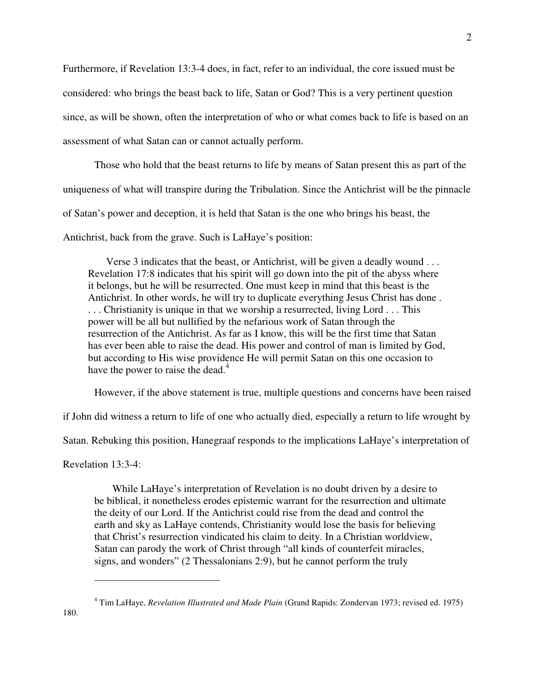Furthermore, if Revelation 13:3-4 does, in fact, refer to an individual, the core issued must be considered: who brings the beast back to life, Satan or God? This is a very pertinent question since, as will be shown, often the interpretation of who or what comes back to life is based on an assessment of what Satan can or cannot actually perform.

Those who hold that the beast returns to life by means of Satan present this as part of the uniqueness of what will transpire during the Tribulation. Since the Antichrist will be the pinnacle

of Satan's power and deception, it is held that Satan is the one who brings his beast, the

Antichrist, back from the grave. Such is LaHaye's position:

Verse 3 indicates that the beast, or Antichrist, will be given a deadly wound . . . Revelation 17:8 indicates that his spirit will go down into the pit of the abyss where it belongs, but he will be resurrected. One must keep in mind that this beast is the Antichrist. In other words, he will try to duplicate everything Jesus Christ has done . . . . Christianity is unique in that we worship a resurrected, living Lord . . . This power will be all but nullified by the nefarious work of Satan through the resurrection of the Antichrist. As far as I know, this will be the first time that Satan has ever been able to raise the dead. His power and control of man is limited by God, but according to His wise providence He will permit Satan on this one occasion to have the power to raise the dead.<sup>4</sup>

However, if the above statement is true, multiple questions and concerns have been raised

if John did witness a return to life of one who actually died, especially a return to life wrought by

Satan. Rebuking this position, Hanegraaf responds to the implications LaHaye's interpretation of

Revelation 13:3-4:

 $\overline{a}$ 

While LaHaye's interpretation of Revelation is no doubt driven by a desire to be biblical, it nonetheless erodes epistemic warrant for the resurrection and ultimate the deity of our Lord. If the Antichrist could rise from the dead and control the earth and sky as LaHaye contends, Christianity would lose the basis for believing that Christ's resurrection vindicated his claim to deity. In a Christian worldview, Satan can parody the work of Christ through "all kinds of counterfeit miracles, signs, and wonders" (2 Thessalonians 2:9), but he cannot perform the truly

<sup>4</sup> Tim LaHaye, *Revelation Illustrated and Made Plain* (Grand Rapids: Zondervan 1973; revised ed. 1975)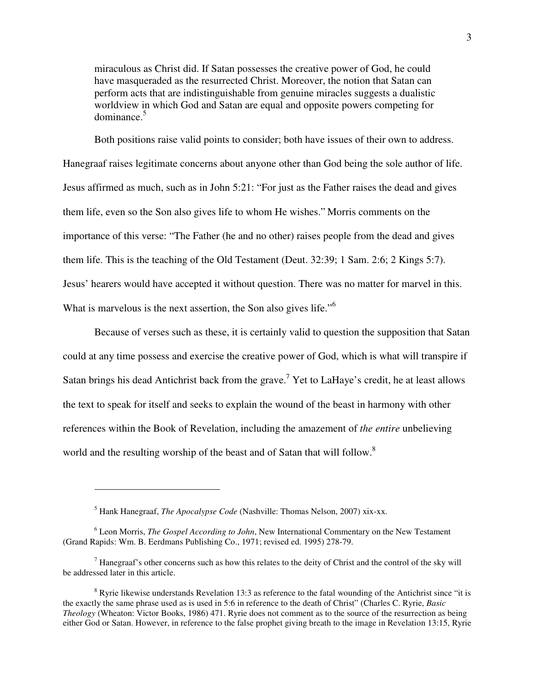miraculous as Christ did. If Satan possesses the creative power of God, he could have masqueraded as the resurrected Christ. Moreover, the notion that Satan can perform acts that are indistinguishable from genuine miracles suggests a dualistic worldview in which God and Satan are equal and opposite powers competing for dominance.<sup>5</sup>

Both positions raise valid points to consider; both have issues of their own to address. Hanegraaf raises legitimate concerns about anyone other than God being the sole author of life. Jesus affirmed as much, such as in John 5:21: "For just as the Father raises the dead and gives them life, even so the Son also gives life to whom He wishes." Morris comments on the importance of this verse: "The Father (he and no other) raises people from the dead and gives them life. This is the teaching of the Old Testament (Deut. 32:39; 1 Sam. 2:6; 2 Kings 5:7). Jesus' hearers would have accepted it without question. There was no matter for marvel in this. What is marvelous is the next assertion, the Son also gives life.<sup>"6</sup>

Because of verses such as these, it is certainly valid to question the supposition that Satan could at any time possess and exercise the creative power of God, which is what will transpire if Satan brings his dead Antichrist back from the grave.<sup>7</sup> Yet to LaHaye's credit, he at least allows the text to speak for itself and seeks to explain the wound of the beast in harmony with other references within the Book of Revelation, including the amazement of *the entire* unbelieving world and the resulting worship of the beast and of Satan that will follow.<sup>8</sup>

<sup>5</sup> Hank Hanegraaf, *The Apocalypse Code* (Nashville: Thomas Nelson, 2007) xix-xx.

<sup>6</sup> Leon Morris, *The Gospel According to John*, New International Commentary on the New Testament (Grand Rapids: Wm. B. Eerdmans Publishing Co., 1971; revised ed. 1995) 278-79.

 $<sup>7</sup>$  Hanegraaf's other concerns such as how this relates to the deity of Christ and the control of the sky will</sup> be addressed later in this article.

 $8$  Ryrie likewise understands Revelation 13:3 as reference to the fatal wounding of the Antichrist since "it is the exactly the same phrase used as is used in 5:6 in reference to the death of Christ" (Charles C. Ryrie, *Basic Theology* (Wheaton: Victor Books, 1986) 471. Ryrie does not comment as to the source of the resurrection as being either God or Satan. However, in reference to the false prophet giving breath to the image in Revelation 13:15, Ryrie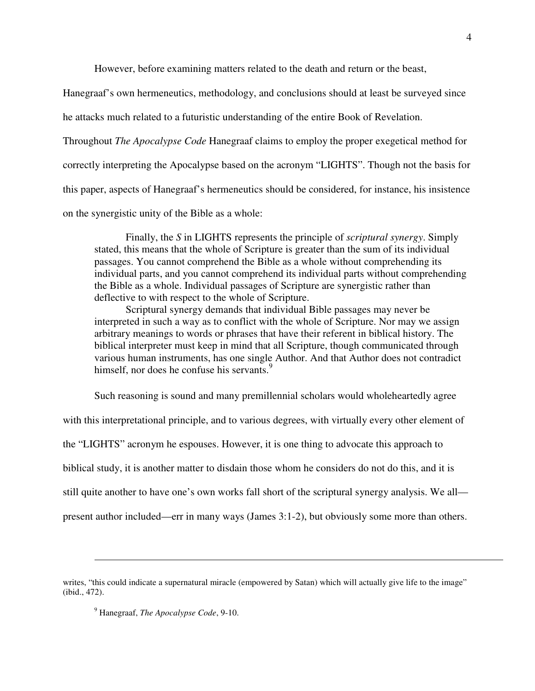However, before examining matters related to the death and return or the beast,

Hanegraaf's own hermeneutics, methodology, and conclusions should at least be surveyed since

he attacks much related to a futuristic understanding of the entire Book of Revelation.

Throughout *The Apocalypse Code* Hanegraaf claims to employ the proper exegetical method for

correctly interpreting the Apocalypse based on the acronym "LIGHTS". Though not the basis for

this paper, aspects of Hanegraaf's hermeneutics should be considered, for instance, his insistence

on the synergistic unity of the Bible as a whole:

Finally, the *S* in LIGHTS represents the principle of *scriptural synergy*. Simply stated, this means that the whole of Scripture is greater than the sum of its individual passages. You cannot comprehend the Bible as a whole without comprehending its individual parts, and you cannot comprehend its individual parts without comprehending the Bible as a whole. Individual passages of Scripture are synergistic rather than deflective to with respect to the whole of Scripture.

Scriptural synergy demands that individual Bible passages may never be interpreted in such a way as to conflict with the whole of Scripture. Nor may we assign arbitrary meanings to words or phrases that have their referent in biblical history. The biblical interpreter must keep in mind that all Scripture, though communicated through various human instruments, has one single Author. And that Author does not contradict himself, nor does he confuse his servants.<sup>9</sup>

Such reasoning is sound and many premillennial scholars would wholeheartedly agree

with this interpretational principle, and to various degrees, with virtually every other element of

the "LIGHTS" acronym he espouses. However, it is one thing to advocate this approach to

biblical study, it is another matter to disdain those whom he considers do not do this, and it is

still quite another to have one's own works fall short of the scriptural synergy analysis. We all—

present author included—err in many ways (James 3:1-2), but obviously some more than others.

writes, "this could indicate a supernatural miracle (empowered by Satan) which will actually give life to the image" (ibid., 472).

<sup>9</sup> Hanegraaf, *The Apocalypse Code*, 9-10.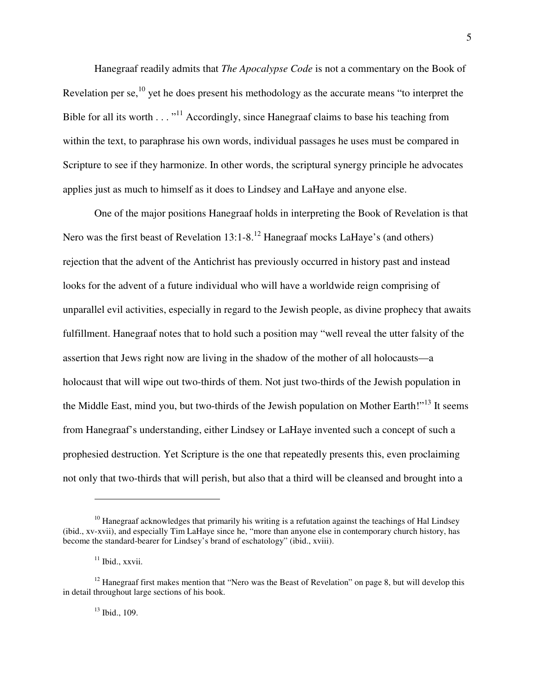Hanegraaf readily admits that *The Apocalypse Code* is not a commentary on the Book of Revelation per se,<sup>10</sup> yet he does present his methodology as the accurate means "to interpret the Bible for all its worth  $\dots$ <sup>11</sup> Accordingly, since Hanegraaf claims to base his teaching from within the text, to paraphrase his own words, individual passages he uses must be compared in Scripture to see if they harmonize. In other words, the scriptural synergy principle he advocates applies just as much to himself as it does to Lindsey and LaHaye and anyone else.

One of the major positions Hanegraaf holds in interpreting the Book of Revelation is that Nero was the first beast of Revelation 13:1-8.<sup>12</sup> Hanegraaf mocks LaHaye's (and others) rejection that the advent of the Antichrist has previously occurred in history past and instead looks for the advent of a future individual who will have a worldwide reign comprising of unparallel evil activities, especially in regard to the Jewish people, as divine prophecy that awaits fulfillment. Hanegraaf notes that to hold such a position may "well reveal the utter falsity of the assertion that Jews right now are living in the shadow of the mother of all holocausts—a holocaust that will wipe out two-thirds of them. Not just two-thirds of the Jewish population in the Middle East, mind you, but two-thirds of the Jewish population on Mother Earth!"<sup>13</sup> It seems from Hanegraaf's understanding, either Lindsey or LaHaye invented such a concept of such a prophesied destruction. Yet Scripture is the one that repeatedly presents this, even proclaiming not only that two-thirds that will perish, but also that a third will be cleansed and brought into a

 $10$  Hanegraaf acknowledges that primarily his writing is a refutation against the teachings of Hal Lindsey (ibid., xv-xvii), and especially Tim LaHaye since he, "more than anyone else in contemporary church history, has become the standard-bearer for Lindsey's brand of eschatology" (ibid., xviii).

 $11$  Ibid., xxvii.

 $12$  Hanegraaf first makes mention that "Nero was the Beast of Revelation" on page 8, but will develop this in detail throughout large sections of his book.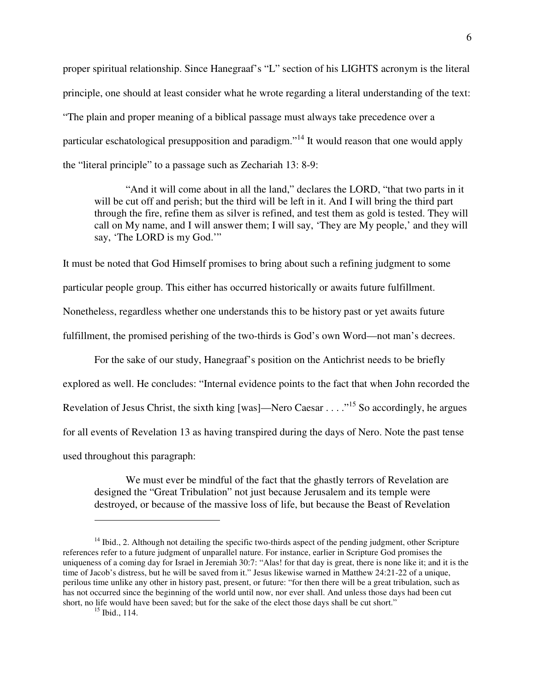proper spiritual relationship. Since Hanegraaf's "L" section of his LIGHTS acronym is the literal principle, one should at least consider what he wrote regarding a literal understanding of the text: "The plain and proper meaning of a biblical passage must always take precedence over a particular eschatological presupposition and paradigm."<sup>14</sup> It would reason that one would apply the "literal principle" to a passage such as Zechariah 13: 8-9:

"And it will come about in all the land," declares the LORD, "that two parts in it will be cut off and perish; but the third will be left in it. And I will bring the third part through the fire, refine them as silver is refined, and test them as gold is tested. They will call on My name, and I will answer them; I will say, 'They are My people,' and they will say, 'The LORD is my God.'"

It must be noted that God Himself promises to bring about such a refining judgment to some particular people group. This either has occurred historically or awaits future fulfillment. Nonetheless, regardless whether one understands this to be history past or yet awaits future fulfillment, the promised perishing of the two-thirds is God's own Word—not man's decrees.

For the sake of our study, Hanegraaf's position on the Antichrist needs to be briefly explored as well. He concludes: "Internal evidence points to the fact that when John recorded the Revelation of Jesus Christ, the sixth king [was]—Nero Caesar . . . .  $^{15}$  So accordingly, he argues for all events of Revelation 13 as having transpired during the days of Nero. Note the past tense used throughout this paragraph:

We must ever be mindful of the fact that the ghastly terrors of Revelation are designed the "Great Tribulation" not just because Jerusalem and its temple were destroyed, or because of the massive loss of life, but because the Beast of Revelation

 $14$  Ibid., 2. Although not detailing the specific two-thirds aspect of the pending judgment, other Scripture references refer to a future judgment of unparallel nature. For instance, earlier in Scripture God promises the uniqueness of a coming day for Israel in Jeremiah 30:7: "Alas! for that day is great, there is none like it; and it is the time of Jacob's distress, but he will be saved from it." Jesus likewise warned in Matthew 24:21-22 of a unique, perilous time unlike any other in history past, present, or future: "for then there will be a great tribulation, such as has not occurred since the beginning of the world until now, nor ever shall. And unless those days had been cut short, no life would have been saved; but for the sake of the elect those days shall be cut short."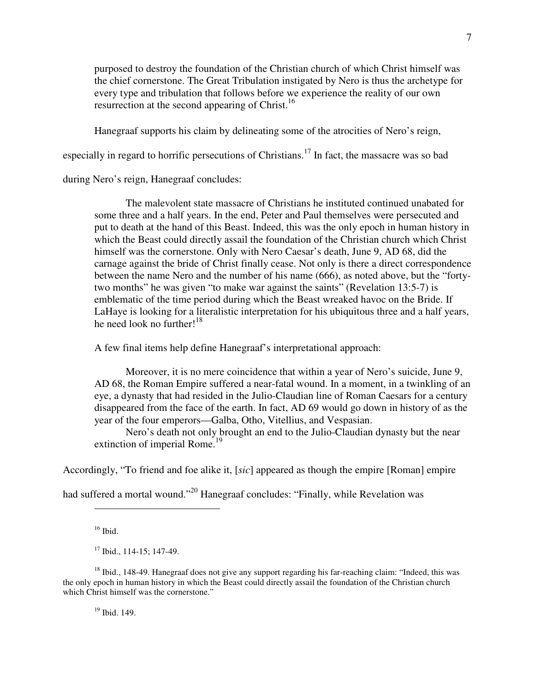purposed to destroy the foundation of the Christian church of which Christ himself was the chief cornerstone. The Great Tribulation instigated by Nero is thus the archetype for every type and tribulation that follows before we experience the reality of our own resurrection at the second appearing of Christ.<sup>16</sup>

Hanegraaf supports his claim by delineating some of the atrocities of Nero's reign,

especially in regard to horrific persecutions of Christians.<sup>17</sup> In fact, the massacre was so bad

during Nero's reign, Hanegraaf concludes:

The malevolent state massacre of Christians he instituted continued unabated for some three and a half years. In the end, Peter and Paul themselves were persecuted and put to death at the hand of this Beast. Indeed, this was the only epoch in human history in which the Beast could directly assail the foundation of the Christian church which Christ himself was the cornerstone. Only with Nero Caesar's death, June 9, AD 68, did the carnage against the bride of Christ finally cease. Not only is there a direct correspondence between the name Nero and the number of his name (666), as noted above, but the "fortytwo months" he was given "to make war against the saints" (Revelation 13:5-7) is emblematic of the time period during which the Beast wreaked havoc on the Bride. If LaHaye is looking for a literalistic interpretation for his ubiquitous three and a half years, he need look no further! $18$ 

A few final items help define Hanegraaf's interpretational approach:

Moreover, it is no mere coincidence that within a year of Nero's suicide, June 9, AD 68, the Roman Empire suffered a near-fatal wound. In a moment, in a twinkling of an eye, a dynasty that had resided in the Julio-Claudian line of Roman Caesars for a century disappeared from the face of the earth. In fact, AD 69 would go down in history of as the year of the four emperors—Galba, Otho, Vitellius, and Vespasian.

Nero's death not only brought an end to the Julio-Claudian dynasty but the near extinction of imperial Rome.<sup>19</sup>

Accordingly, "To friend and foe alike it, [*sic*] appeared as though the empire [Roman] empire

had suffered a mortal wound."<sup>20</sup> Hanegraaf concludes: "Finally, while Revelation was

 $\overline{a}$ 

 $19$  Ibid. 149.

 $16$  Ibid.

 $17$  Ibid., 114-15; 147-49.

 $18$  Ibid., 148-49. Hanegraaf does not give any support regarding his far-reaching claim: "Indeed, this was the only epoch in human history in which the Beast could directly assail the foundation of the Christian church which Christ himself was the cornerstone."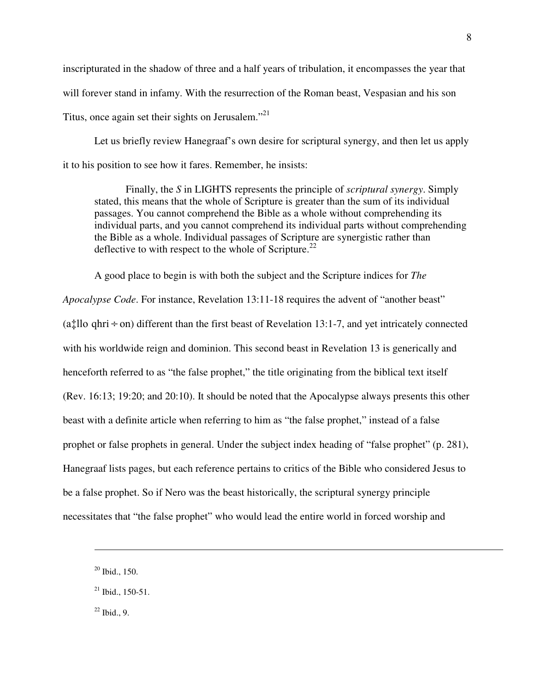inscripturated in the shadow of three and a half years of tribulation, it encompasses the year that will forever stand in infamy. With the resurrection of the Roman beast, Vespasian and his son Titus, once again set their sights on Jerusalem."<sup>21</sup>

Let us briefly review Hanegraaf's own desire for scriptural synergy, and then let us apply it to his position to see how it fares. Remember, he insists:

Finally, the *S* in LIGHTS represents the principle of *scriptural synergy*. Simply stated, this means that the whole of Scripture is greater than the sum of its individual passages. You cannot comprehend the Bible as a whole without comprehending its individual parts, and you cannot comprehend its individual parts without comprehending the Bible as a whole. Individual passages of Scripture are synergistic rather than deflective to with respect to the whole of Scripture.<sup>22</sup>

A good place to begin is with both the subject and the Scripture indices for *The Apocalypse Code*. For instance, Revelation 13:11-18 requires the advent of "another beast" (a<sup> $\pm$ </sup>llo qhri  $\div$  on) different than the first beast of Revelation 13:1-7, and yet intricately connected with his worldwide reign and dominion. This second beast in Revelation 13 is generically and henceforth referred to as "the false prophet," the title originating from the biblical text itself (Rev. 16:13; 19:20; and 20:10). It should be noted that the Apocalypse always presents this other beast with a definite article when referring to him as "the false prophet," instead of a false prophet or false prophets in general. Under the subject index heading of "false prophet" (p. 281), Hanegraaf lists pages, but each reference pertains to critics of the Bible who considered Jesus to be a false prophet. So if Nero was the beast historically, the scriptural synergy principle necessitates that "the false prophet" who would lead the entire world in forced worship and

 $\overline{a}$ 

 $22$  Ibid., 9.

 $20$  Ibid., 150.

 $^{21}$  Ibid., 150-51.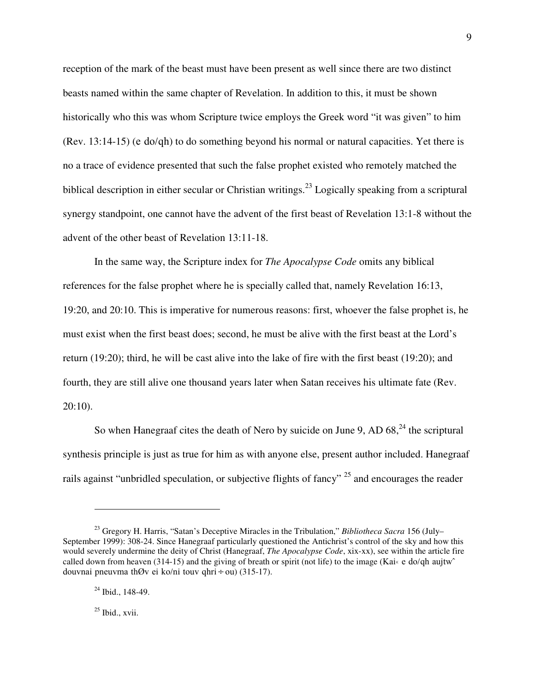reception of the mark of the beast must have been present as well since there are two distinct beasts named within the same chapter of Revelation. In addition to this, it must be shown historically who this was whom Scripture twice employs the Greek word "it was given" to him (Rev. 13:14-15) (e
do/qh) to do something beyond his normal or natural capacities. Yet there is no a trace of evidence presented that such the false prophet existed who remotely matched the biblical description in either secular or Christian writings.<sup>23</sup> Logically speaking from a scriptural synergy standpoint, one cannot have the advent of the first beast of Revelation 13:1-8 without the advent of the other beast of Revelation 13:11-18.

In the same way, the Scripture index for *The Apocalypse Code* omits any biblical references for the false prophet where he is specially called that, namely Revelation 16:13, 19:20, and 20:10. This is imperative for numerous reasons: first, whoever the false prophet is, he must exist when the first beast does; second, he must be alive with the first beast at the Lord's return (19:20); third, he will be cast alive into the lake of fire with the first beast (19:20); and fourth, they are still alive one thousand years later when Satan receives his ultimate fate (Rev. 20:10).

So when Hanegraaf cites the death of Nero by suicide on June 9, AD  $68<sup>24</sup>$ , the scriptural synthesis principle is just as true for him as with anyone else, present author included. Hanegraaf rails against "unbridled speculation, or subjective flights of fancy"  $^{25}$  and encourages the reader

<sup>23</sup> Gregory H. Harris, "Satan's Deceptive Miracles in the Tribulation," *Bibliotheca Sacra* 156 (July– September 1999): 308-24. Since Hanegraaf particularly questioned the Antichrist's control of the sky and how this would severely undermine the deity of Christ (Hanegraaf, *The Apocalypse Code*, xix-xx), see within the article fire called down from heaven (314-15) and the giving of breath or spirit (not life) to the image (Kai« e do/qh aujtw $\hat{ }$ douvnai pneuvma thØv ei
ko/ni touv qhri÷ou) (315-17).

 $24$  Ibid., 148-49.

 $25$  Ibid., xvii.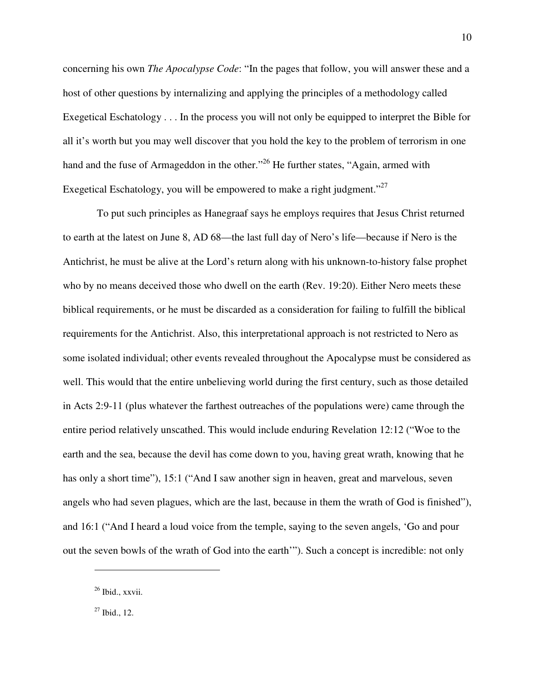concerning his own *The Apocalypse Code*: "In the pages that follow, you will answer these and a host of other questions by internalizing and applying the principles of a methodology called Exegetical Eschatology . . . In the process you will not only be equipped to interpret the Bible for all it's worth but you may well discover that you hold the key to the problem of terrorism in one hand and the fuse of Armageddon in the other."<sup>26</sup> He further states, "Again, armed with Exegetical Eschatology, you will be empowered to make a right judgment."<sup>27</sup>

 To put such principles as Hanegraaf says he employs requires that Jesus Christ returned to earth at the latest on June 8, AD 68—the last full day of Nero's life—because if Nero is the Antichrist, he must be alive at the Lord's return along with his unknown-to-history false prophet who by no means deceived those who dwell on the earth (Rev. 19:20). Either Nero meets these biblical requirements, or he must be discarded as a consideration for failing to fulfill the biblical requirements for the Antichrist. Also, this interpretational approach is not restricted to Nero as some isolated individual; other events revealed throughout the Apocalypse must be considered as well. This would that the entire unbelieving world during the first century, such as those detailed in Acts 2:9-11 (plus whatever the farthest outreaches of the populations were) came through the entire period relatively unscathed. This would include enduring Revelation 12:12 ("Woe to the earth and the sea, because the devil has come down to you, having great wrath, knowing that he has only a short time"), 15:1 ("And I saw another sign in heaven, great and marvelous, seven angels who had seven plagues, which are the last, because in them the wrath of God is finished"), and 16:1 ("And I heard a loud voice from the temple, saying to the seven angels, 'Go and pour out the seven bowls of the wrath of God into the earth'"). Such a concept is incredible: not only

 $26$  Ibid., xxvii.

 $27$  Ibid., 12.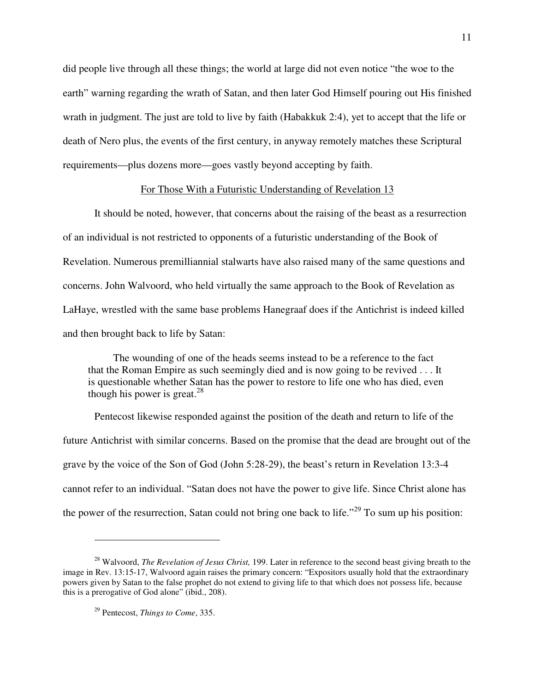did people live through all these things; the world at large did not even notice "the woe to the earth" warning regarding the wrath of Satan, and then later God Himself pouring out His finished wrath in judgment. The just are told to live by faith (Habakkuk 2:4), yet to accept that the life or death of Nero plus, the events of the first century, in anyway remotely matches these Scriptural requirements—plus dozens more—goes vastly beyond accepting by faith.

#### For Those With a Futuristic Understanding of Revelation 13

It should be noted, however, that concerns about the raising of the beast as a resurrection of an individual is not restricted to opponents of a futuristic understanding of the Book of Revelation. Numerous premilliannial stalwarts have also raised many of the same questions and concerns. John Walvoord, who held virtually the same approach to the Book of Revelation as LaHaye, wrestled with the same base problems Hanegraaf does if the Antichrist is indeed killed and then brought back to life by Satan:

The wounding of one of the heads seems instead to be a reference to the fact that the Roman Empire as such seemingly died and is now going to be revived . . . It is questionable whether Satan has the power to restore to life one who has died, even though his power is great.<sup>28</sup>

Pentecost likewise responded against the position of the death and return to life of the future Antichrist with similar concerns. Based on the promise that the dead are brought out of the grave by the voice of the Son of God (John 5:28-29), the beast's return in Revelation 13:3-4 cannot refer to an individual. "Satan does not have the power to give life. Since Christ alone has the power of the resurrection, Satan could not bring one back to life."<sup>29</sup> To sum up his position:

<sup>28</sup> Walvoord, *The Revelation of Jesus Christ,* 199. Later in reference to the second beast giving breath to the image in Rev. 13:15-17, Walvoord again raises the primary concern: "Expositors usually hold that the extraordinary powers given by Satan to the false prophet do not extend to giving life to that which does not possess life, because this is a prerogative of God alone" (ibid., 208).

<sup>29</sup> Pentecost, *Things to Come*, 335.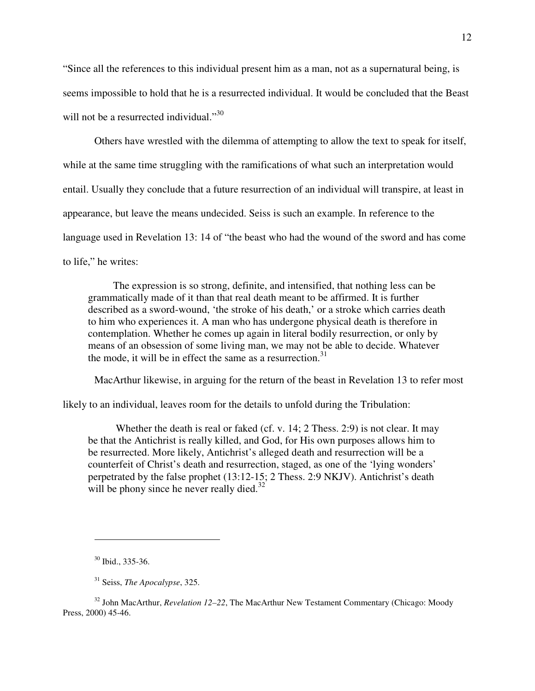"Since all the references to this individual present him as a man, not as a supernatural being, is seems impossible to hold that he is a resurrected individual. It would be concluded that the Beast will not be a resurrected individual."<sup>30</sup>

Others have wrestled with the dilemma of attempting to allow the text to speak for itself, while at the same time struggling with the ramifications of what such an interpretation would entail. Usually they conclude that a future resurrection of an individual will transpire, at least in appearance, but leave the means undecided. Seiss is such an example. In reference to the language used in Revelation 13: 14 of "the beast who had the wound of the sword and has come to life," he writes:

The expression is so strong, definite, and intensified, that nothing less can be grammatically made of it than that real death meant to be affirmed. It is further described as a sword-wound, 'the stroke of his death,' or a stroke which carries death to him who experiences it. A man who has undergone physical death is therefore in contemplation. Whether he comes up again in literal bodily resurrection, or only by means of an obsession of some living man, we may not be able to decide. Whatever the mode, it will be in effect the same as a resurrection. $31$ 

MacArthur likewise, in arguing for the return of the beast in Revelation 13 to refer most

likely to an individual, leaves room for the details to unfold during the Tribulation:

 Whether the death is real or faked (cf. v. 14; 2 Thess. 2:9) is not clear. It may be that the Antichrist is really killed, and God, for His own purposes allows him to be resurrected. More likely, Antichrist's alleged death and resurrection will be a counterfeit of Christ's death and resurrection, staged, as one of the 'lying wonders' perpetrated by the false prophet (13:12-15; 2 Thess. 2:9 NKJV). Antichrist's death will be phony since he never really died. $32$ 

<sup>30</sup> Ibid., 335-36.

<sup>31</sup> Seiss, *The Apocalypse*, 325.

<sup>32</sup> John MacArthur, *Revelation 12–22*, The MacArthur New Testament Commentary (Chicago: Moody Press, 2000) 45-46.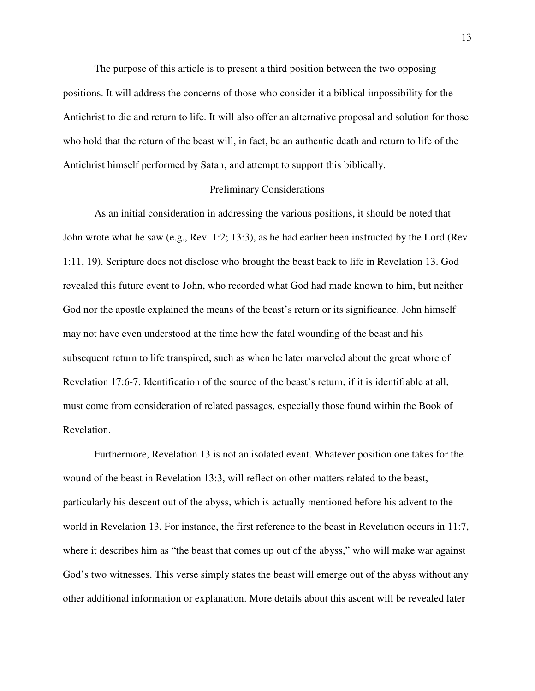The purpose of this article is to present a third position between the two opposing positions. It will address the concerns of those who consider it a biblical impossibility for the Antichrist to die and return to life. It will also offer an alternative proposal and solution for those who hold that the return of the beast will, in fact, be an authentic death and return to life of the Antichrist himself performed by Satan, and attempt to support this biblically.

#### Preliminary Considerations

As an initial consideration in addressing the various positions, it should be noted that John wrote what he saw (e.g., Rev. 1:2; 13:3), as he had earlier been instructed by the Lord (Rev. 1:11, 19). Scripture does not disclose who brought the beast back to life in Revelation 13. God revealed this future event to John, who recorded what God had made known to him, but neither God nor the apostle explained the means of the beast's return or its significance. John himself may not have even understood at the time how the fatal wounding of the beast and his subsequent return to life transpired, such as when he later marveled about the great whore of Revelation 17:6-7. Identification of the source of the beast's return, if it is identifiable at all, must come from consideration of related passages, especially those found within the Book of Revelation.

Furthermore, Revelation 13 is not an isolated event. Whatever position one takes for the wound of the beast in Revelation 13:3, will reflect on other matters related to the beast, particularly his descent out of the abyss, which is actually mentioned before his advent to the world in Revelation 13. For instance, the first reference to the beast in Revelation occurs in 11:7, where it describes him as "the beast that comes up out of the abyss," who will make war against God's two witnesses. This verse simply states the beast will emerge out of the abyss without any other additional information or explanation. More details about this ascent will be revealed later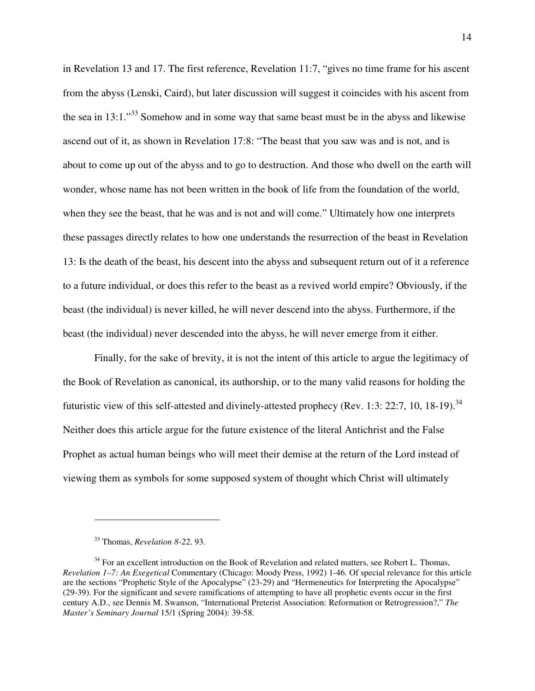in Revelation 13 and 17. The first reference, Revelation 11:7, "gives no time frame for his ascent from the abyss (Lenski, Caird), but later discussion will suggest it coincides with his ascent from the sea in  $13:1.^{33}$  Somehow and in some way that same beast must be in the abyss and likewise ascend out of it, as shown in Revelation 17:8: "The beast that you saw was and is not, and is about to come up out of the abyss and to go to destruction. And those who dwell on the earth will wonder, whose name has not been written in the book of life from the foundation of the world, when they see the beast, that he was and is not and will come." Ultimately how one interprets these passages directly relates to how one understands the resurrection of the beast in Revelation 13: Is the death of the beast, his descent into the abyss and subsequent return out of it a reference to a future individual, or does this refer to the beast as a revived world empire? Obviously, if the beast (the individual) is never killed, he will never descend into the abyss. Furthermore, if the beast (the individual) never descended into the abyss, he will never emerge from it either.

Finally, for the sake of brevity, it is not the intent of this article to argue the legitimacy of the Book of Revelation as canonical, its authorship, or to the many valid reasons for holding the futuristic view of this self-attested and divinely-attested prophecy (Rev. 1:3: 22:7, 10, 18-19).<sup>34</sup> Neither does this article argue for the future existence of the literal Antichrist and the False Prophet as actual human beings who will meet their demise at the return of the Lord instead of viewing them as symbols for some supposed system of thought which Christ will ultimately

<sup>33</sup> Thomas, *Revelation 8-22,* 93.

 $34$  For an excellent introduction on the Book of Revelation and related matters, see Robert L. Thomas, *Revelation 1–7: An Exegetical* Commentary (Chicago: Moody Press, 1992) 1-46. Of special relevance for this article are the sections "Prophetic Style of the Apocalypse" (23-29) and "Hermeneutics for Interpreting the Apocalypse" (29-39). For the significant and severe ramifications of attempting to have all prophetic events occur in the first century A.D., see Dennis M. Swanson, "International Preterist Association: Reformation or Retrogression?," *The Master's Seminary Journal* 15/1 (Spring 2004): 39-58.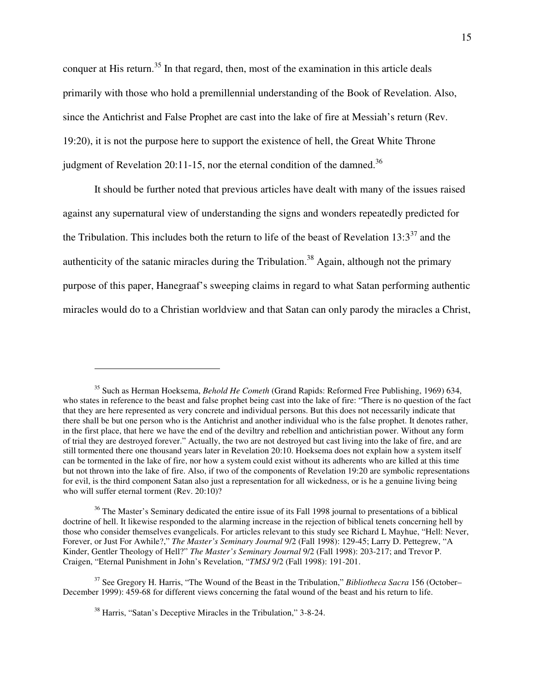conquer at His return.<sup>35</sup> In that regard, then, most of the examination in this article deals primarily with those who hold a premillennial understanding of the Book of Revelation. Also, since the Antichrist and False Prophet are cast into the lake of fire at Messiah's return (Rev. 19:20), it is not the purpose here to support the existence of hell, the Great White Throne judgment of Revelation 20:11-15, nor the eternal condition of the damned.<sup>36</sup>

It should be further noted that previous articles have dealt with many of the issues raised against any supernatural view of understanding the signs and wonders repeatedly predicted for the Tribulation. This includes both the return to life of the beast of Revelation  $13:3^{37}$  and the authenticity of the satanic miracles during the Tribulation.<sup>38</sup> Again, although not the primary purpose of this paper, Hanegraaf's sweeping claims in regard to what Satan performing authentic miracles would do to a Christian worldview and that Satan can only parody the miracles a Christ,

<sup>35</sup> Such as Herman Hoeksema, *Behold He Cometh* (Grand Rapids: Reformed Free Publishing, 1969) 634, who states in reference to the beast and false prophet being cast into the lake of fire: "There is no question of the fact that they are here represented as very concrete and individual persons. But this does not necessarily indicate that there shall be but one person who is the Antichrist and another individual who is the false prophet. It denotes rather, in the first place, that here we have the end of the deviltry and rebellion and antichristian power. Without any form of trial they are destroyed forever." Actually, the two are not destroyed but cast living into the lake of fire, and are still tormented there one thousand years later in Revelation 20:10. Hoeksema does not explain how a system itself can be tormented in the lake of fire, nor how a system could exist without its adherents who are killed at this time but not thrown into the lake of fire. Also, if two of the components of Revelation 19:20 are symbolic representations for evil, is the third component Satan also just a representation for all wickedness, or is he a genuine living being who will suffer eternal torment (Rev. 20:10)?

<sup>&</sup>lt;sup>36</sup> The Master's Seminary dedicated the entire issue of its Fall 1998 journal to presentations of a biblical doctrine of hell. It likewise responded to the alarming increase in the rejection of biblical tenets concerning hell by those who consider themselves evangelicals. For articles relevant to this study see Richard L Mayhue, "Hell: Never, Forever, or Just For Awhile?," *The Master's Seminary Journal* 9/2 (Fall 1998): 129-45; Larry D. Pettegrew, "A Kinder, Gentler Theology of Hell?" *The Master's Seminary Journal* 9/2 (Fall 1998): 203-217; and Trevor P. Craigen, "Eternal Punishment in John's Revelation, "*TMSJ* 9/2 (Fall 1998): 191-201.

<sup>37</sup> See Gregory H. Harris, "The Wound of the Beast in the Tribulation," *Bibliotheca Sacra* 156 (October– December 1999): 459-68 for different views concerning the fatal wound of the beast and his return to life.

<sup>38</sup> Harris, "Satan's Deceptive Miracles in the Tribulation," 3-8-24.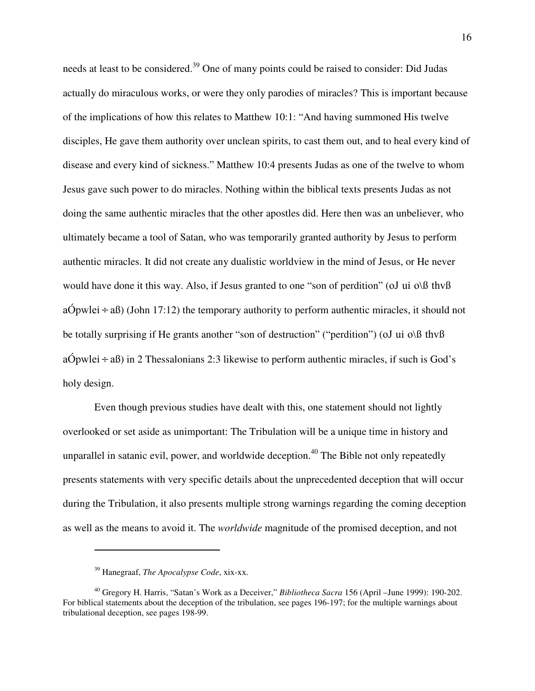needs at least to be considered.<sup>39</sup> One of many points could be raised to consider: Did Judas actually do miraculous works, or were they only parodies of miracles? This is important because of the implications of how this relates to Matthew 10:1: "And having summoned His twelve disciples, He gave them authority over unclean spirits, to cast them out, and to heal every kind of disease and every kind of sickness." Matthew 10:4 presents Judas as one of the twelve to whom Jesus gave such power to do miracles. Nothing within the biblical texts presents Judas as not doing the same authentic miracles that the other apostles did. Here then was an unbeliever, who ultimately became a tool of Satan, who was temporarily granted authority by Jesus to perform authentic miracles. It did not create any dualistic worldview in the mind of Jesus, or He never would have done it this way. Also, if Jesus granted to one "son of perdition" (oJ ui  $\alpha\$  thvß aÓpwlei $\div$ aß) (John 17:12) the temporary authority to perform authentic miracles, it should not be totally surprising if He grants another "son of destruction" ("perdition") (oJ ui  $o\$  thvß  $aOpwlei \div aB$ ) in 2 Thessalonians 2:3 likewise to perform authentic miracles, if such is God's holy design.

Even though previous studies have dealt with this, one statement should not lightly overlooked or set aside as unimportant: The Tribulation will be a unique time in history and unparallel in satanic evil, power, and worldwide deception.<sup> $40$ </sup> The Bible not only repeatedly presents statements with very specific details about the unprecedented deception that will occur during the Tribulation, it also presents multiple strong warnings regarding the coming deception as well as the means to avoid it. The *worldwide* magnitude of the promised deception, and not

<sup>39</sup> Hanegraaf, *The Apocalypse Code*, xix-xx.

<sup>40</sup> Gregory H. Harris, "Satan's Work as a Deceiver," *Bibliotheca Sacra* 156 (April –June 1999): 190-202. For biblical statements about the deception of the tribulation, see pages 196-197; for the multiple warnings about tribulational deception, see pages 198-99.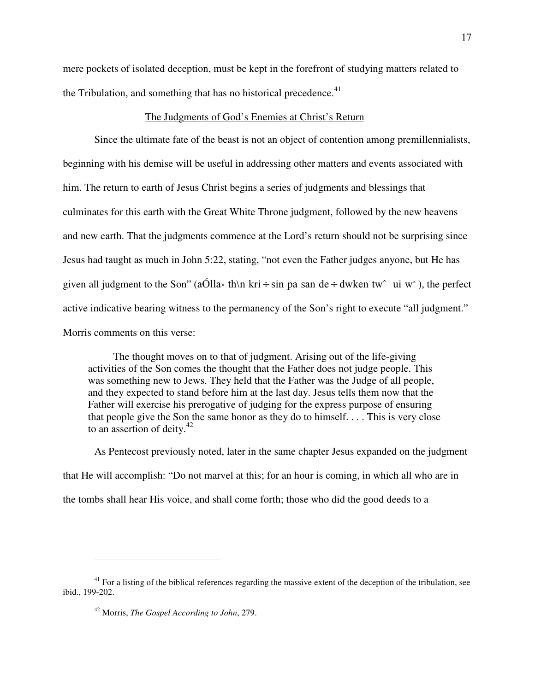mere pockets of isolated deception, must be kept in the forefront of studying matters related to the Tribulation, and something that has no historical precedence. $41$ 

# The Judgments of God's Enemies at Christ's Return

Since the ultimate fate of the beast is not an object of contention among premillennialists, beginning with his demise will be useful in addressing other matters and events associated with him. The return to earth of Jesus Christ begins a series of judgments and blessings that culminates for this earth with the Great White Throne judgment, followed by the new heavens and new earth. That the judgments commence at the Lord's return should not be surprising since Jesus had taught as much in John 5:22, stating, "not even the Father judges anyone, but He has given all judgment to the Son" (aOlla) th\n kri ÷ sin pa san de ÷ dwken tw° ui w°), the perfect active indicative bearing witness to the permanency of the Son's right to execute "all judgment." Morris comments on this verse:

The thought moves on to that of judgment. Arising out of the life-giving activities of the Son comes the thought that the Father does not judge people. This was something new to Jews. They held that the Father was the Judge of all people, and they expected to stand before him at the last day. Jesus tells them now that the Father will exercise his prerogative of judging for the express purpose of ensuring that people give the Son the same honor as they do to himself. . . . This is very close to an assertion of deity. $42$ 

As Pentecost previously noted, later in the same chapter Jesus expanded on the judgment that He will accomplish: "Do not marvel at this; for an hour is coming, in which all who are in the tombs shall hear His voice, and shall come forth; those who did the good deeds to a

 $41$  For a listing of the biblical references regarding the massive extent of the deception of the tribulation, see ibid., 199-202.

<sup>42</sup> Morris, *The Gospel According to John*, 279.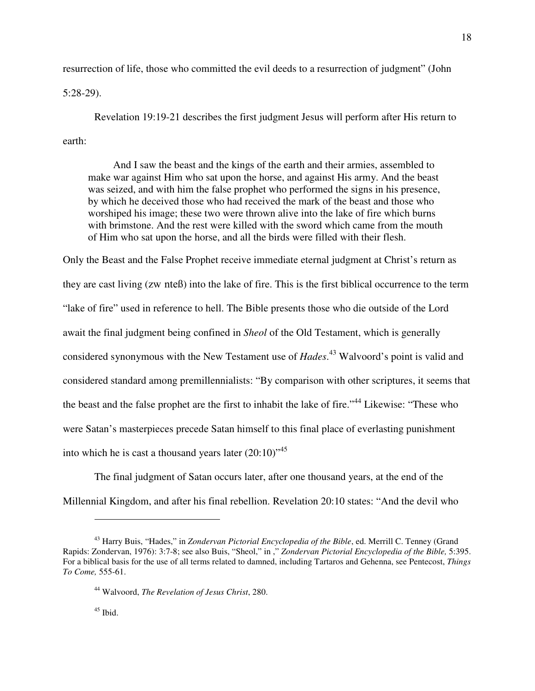resurrection of life, those who committed the evil deeds to a resurrection of judgment" (John

5:28-29).

Revelation 19:19-21 describes the first judgment Jesus will perform after His return to earth:

And I saw the beast and the kings of the earth and their armies, assembled to make war against Him who sat upon the horse, and against His army. And the beast was seized, and with him the false prophet who performed the signs in his presence, by which he deceived those who had received the mark of the beast and those who worshiped his image; these two were thrown alive into the lake of fire which burns with brimstone. And the rest were killed with the sword which came from the mouth of Him who sat upon the horse, and all the birds were filled with their flesh.

Only the Beast and the False Prophet receive immediate eternal judgment at Christ's return as they are cast living (zw
nteß) into the lake of fire. This is the first biblical occurrence to the term "lake of fire" used in reference to hell. The Bible presents those who die outside of the Lord await the final judgment being confined in *Sheol* of the Old Testament, which is generally considered synonymous with the New Testament use of *Hades*. <sup>43</sup> Walvoord's point is valid and considered standard among premillennialists: "By comparison with other scriptures, it seems that the beast and the false prophet are the first to inhabit the lake of fire."<sup>44</sup> Likewise: "These who were Satan's masterpieces precede Satan himself to this final place of everlasting punishment into which he is cast a thousand years later  $(20:10)^{4,5}$ 

The final judgment of Satan occurs later, after one thousand years, at the end of the Millennial Kingdom, and after his final rebellion. Revelation 20:10 states: "And the devil who

<sup>43</sup> Harry Buis, "Hades," in *Zondervan Pictorial Encyclopedia of the Bible*, ed. Merrill C. Tenney (Grand Rapids: Zondervan, 1976): 3:7-8; see also Buis, "Sheol," in ," *Zondervan Pictorial Encyclopedia of the Bible,* 5:395. For a biblical basis for the use of all terms related to damned, including Tartaros and Gehenna, see Pentecost, *Things To Come,* 555-61.

<sup>44</sup> Walvoord, *The Revelation of Jesus Christ*, 280.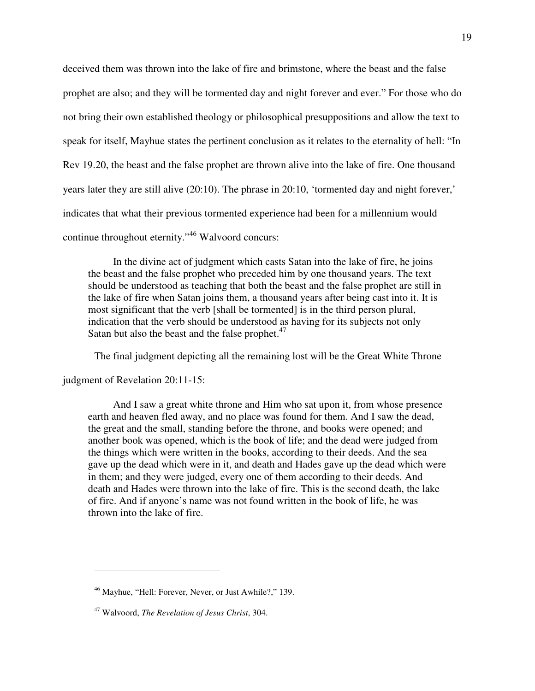deceived them was thrown into the lake of fire and brimstone, where the beast and the false prophet are also; and they will be tormented day and night forever and ever." For those who do not bring their own established theology or philosophical presuppositions and allow the text to speak for itself, Mayhue states the pertinent conclusion as it relates to the eternality of hell: "In Rev 19.20, the beast and the false prophet are thrown alive into the lake of fire. One thousand years later they are still alive (20:10). The phrase in 20:10, 'tormented day and night forever,' indicates that what their previous tormented experience had been for a millennium would continue throughout eternity."<sup>46</sup> Walvoord concurs:

In the divine act of judgment which casts Satan into the lake of fire, he joins the beast and the false prophet who preceded him by one thousand years. The text should be understood as teaching that both the beast and the false prophet are still in the lake of fire when Satan joins them, a thousand years after being cast into it. It is most significant that the verb [shall be tormented] is in the third person plural, indication that the verb should be understood as having for its subjects not only Satan but also the beast and the false prophet.<sup>47</sup>

The final judgment depicting all the remaining lost will be the Great White Throne

judgment of Revelation 20:11-15:

 $\overline{a}$ 

And I saw a great white throne and Him who sat upon it, from whose presence earth and heaven fled away, and no place was found for them. And I saw the dead, the great and the small, standing before the throne, and books were opened; and another book was opened, which is the book of life; and the dead were judged from the things which were written in the books, according to their deeds. And the sea gave up the dead which were in it, and death and Hades gave up the dead which were in them; and they were judged, every one of them according to their deeds. And death and Hades were thrown into the lake of fire. This is the second death, the lake of fire. And if anyone's name was not found written in the book of life, he was thrown into the lake of fire.

<sup>46</sup> Mayhue, "Hell: Forever, Never, or Just Awhile?," 139.

<sup>47</sup> Walvoord, *The Revelation of Jesus Christ*, 304.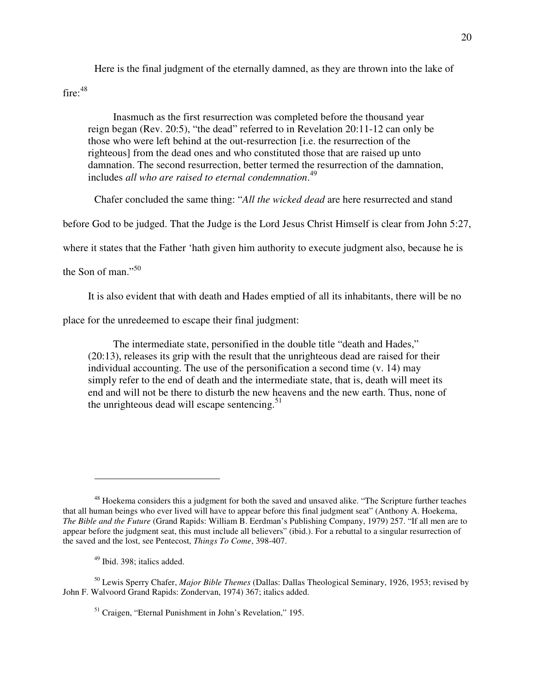Here is the final judgment of the eternally damned, as they are thrown into the lake of

fire: $48$ 

Inasmuch as the first resurrection was completed before the thousand year reign began (Rev. 20:5), "the dead" referred to in Revelation 20:11-12 can only be those who were left behind at the out-resurrection [i.e. the resurrection of the righteous] from the dead ones and who constituted those that are raised up unto damnation. The second resurrection, better termed the resurrection of the damnation, includes *all who are raised to eternal condemnation*. 49

Chafer concluded the same thing: "*All the wicked dead* are here resurrected and stand

before God to be judged. That the Judge is the Lord Jesus Christ Himself is clear from John 5:27,

where it states that the Father 'hath given him authority to execute judgment also, because he is

the Son of man." $50$ 

 $\overline{a}$ 

It is also evident that with death and Hades emptied of all its inhabitants, there will be no

place for the unredeemed to escape their final judgment:

The intermediate state, personified in the double title "death and Hades," (20:13), releases its grip with the result that the unrighteous dead are raised for their individual accounting. The use of the personification a second time (v. 14) may simply refer to the end of death and the intermediate state, that is, death will meet its end and will not be there to disturb the new heavens and the new earth. Thus, none of the unrighteous dead will escape sentencing. $51$ 

<sup>50</sup> Lewis Sperry Chafer, *Major Bible Themes* (Dallas: Dallas Theological Seminary, 1926, 1953; revised by John F. Walvoord Grand Rapids: Zondervan, 1974) 367; italics added.

<sup>51</sup> Craigen, "Eternal Punishment in John's Revelation," 195.

<sup>&</sup>lt;sup>48</sup> Hoekema considers this a judgment for both the saved and unsaved alike. "The Scripture further teaches that all human beings who ever lived will have to appear before this final judgment seat" (Anthony A. Hoekema, *The Bible and the Future* (Grand Rapids: William B. Eerdman's Publishing Company, 1979) 257. "If all men are to appear before the judgment seat, this must include all believers" (ibid.). For a rebuttal to a singular resurrection of the saved and the lost, see Pentecost, *Things To Come*, 398-407.

<sup>49</sup> Ibid. 398; italics added.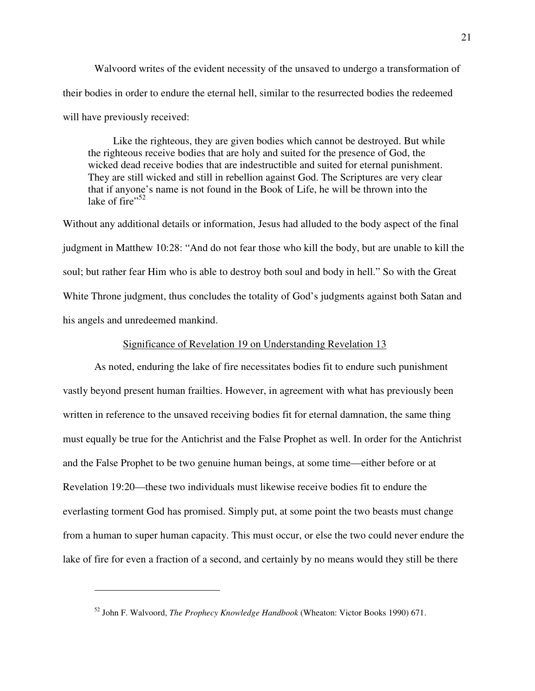Walvoord writes of the evident necessity of the unsaved to undergo a transformation of their bodies in order to endure the eternal hell, similar to the resurrected bodies the redeemed will have previously received:

Like the righteous, they are given bodies which cannot be destroyed. But while the righteous receive bodies that are holy and suited for the presence of God, the wicked dead receive bodies that are indestructible and suited for eternal punishment. They are still wicked and still in rebellion against God. The Scriptures are very clear that if anyone's name is not found in the Book of Life, he will be thrown into the lake of  $\text{fire}$ <sup> $,52$ </sup>

Without any additional details or information, Jesus had alluded to the body aspect of the final judgment in Matthew 10:28: "And do not fear those who kill the body, but are unable to kill the soul; but rather fear Him who is able to destroy both soul and body in hell." So with the Great White Throne judgment, thus concludes the totality of God's judgments against both Satan and his angels and unredeemed mankind.

### Significance of Revelation 19 on Understanding Revelation 13

As noted, enduring the lake of fire necessitates bodies fit to endure such punishment vastly beyond present human frailties. However, in agreement with what has previously been written in reference to the unsaved receiving bodies fit for eternal damnation, the same thing must equally be true for the Antichrist and the False Prophet as well. In order for the Antichrist and the False Prophet to be two genuine human beings, at some time—either before or at Revelation 19:20—these two individuals must likewise receive bodies fit to endure the everlasting torment God has promised. Simply put, at some point the two beasts must change from a human to super human capacity. This must occur, or else the two could never endure the lake of fire for even a fraction of a second, and certainly by no means would they still be there

<sup>52</sup> John F. Walvoord, *The Prophecy Knowledge Handbook* (Wheaton: Victor Books 1990) 671.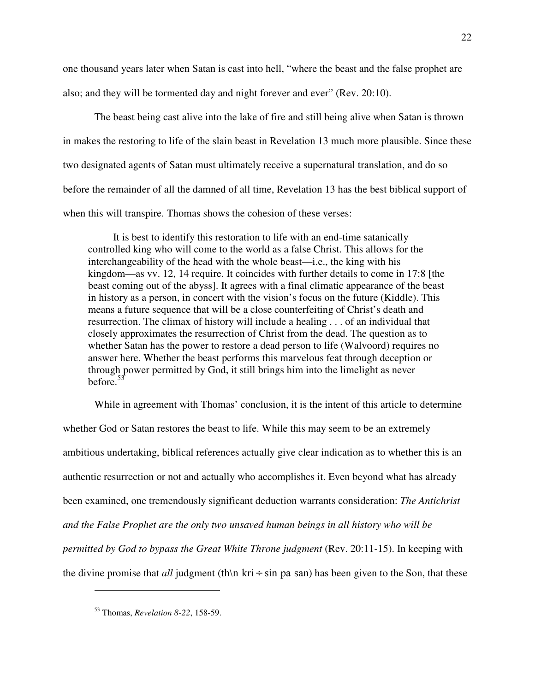one thousand years later when Satan is cast into hell, "where the beast and the false prophet are also; and they will be tormented day and night forever and ever" (Rev. 20:10).

The beast being cast alive into the lake of fire and still being alive when Satan is thrown in makes the restoring to life of the slain beast in Revelation 13 much more plausible. Since these two designated agents of Satan must ultimately receive a supernatural translation, and do so before the remainder of all the damned of all time, Revelation 13 has the best biblical support of when this will transpire. Thomas shows the cohesion of these verses:

It is best to identify this restoration to life with an end-time satanically controlled king who will come to the world as a false Christ. This allows for the interchangeability of the head with the whole beast—i.e., the king with his kingdom—as vv. 12, 14 require. It coincides with further details to come in 17:8 [the beast coming out of the abyss]. It agrees with a final climatic appearance of the beast in history as a person, in concert with the vision's focus on the future (Kiddle). This means a future sequence that will be a close counterfeiting of Christ's death and resurrection. The climax of history will include a healing . . . of an individual that closely approximates the resurrection of Christ from the dead. The question as to whether Satan has the power to restore a dead person to life (Walvoord) requires no answer here. Whether the beast performs this marvelous feat through deception or through power permitted by God, it still brings him into the limelight as never before.<sup>53</sup>

While in agreement with Thomas' conclusion, it is the intent of this article to determine whether God or Satan restores the beast to life. While this may seem to be an extremely ambitious undertaking, biblical references actually give clear indication as to whether this is an authentic resurrection or not and actually who accomplishes it. Even beyond what has already been examined, one tremendously significant deduction warrants consideration: *The Antichrist and the False Prophet are the only two unsaved human beings in all history who will be permitted by God to bypass the Great White Throne judgment* (Rev. 20:11-15). In keeping with the divine promise that *all* judgment (th\n kri÷sin pa san) has been given to the Son, that these

<sup>53</sup> Thomas, *Revelation 8-22*, 158-59.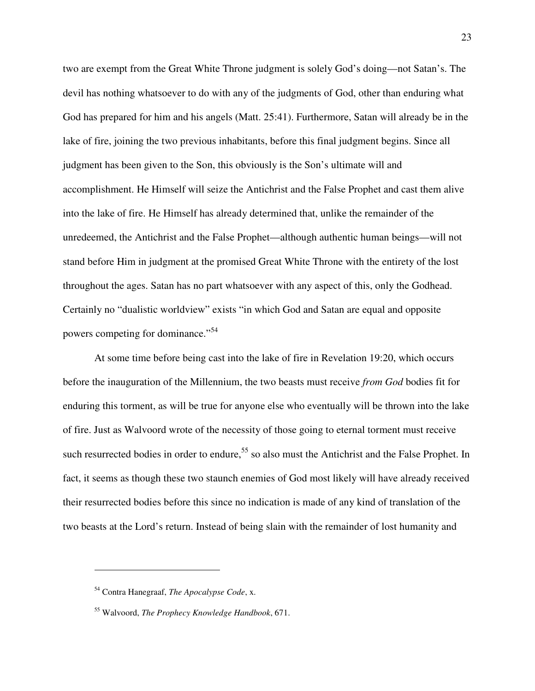two are exempt from the Great White Throne judgment is solely God's doing—not Satan's. The devil has nothing whatsoever to do with any of the judgments of God, other than enduring what God has prepared for him and his angels (Matt. 25:41). Furthermore, Satan will already be in the lake of fire, joining the two previous inhabitants, before this final judgment begins. Since all judgment has been given to the Son, this obviously is the Son's ultimate will and accomplishment. He Himself will seize the Antichrist and the False Prophet and cast them alive into the lake of fire. He Himself has already determined that, unlike the remainder of the unredeemed, the Antichrist and the False Prophet—although authentic human beings—will not stand before Him in judgment at the promised Great White Throne with the entirety of the lost throughout the ages. Satan has no part whatsoever with any aspect of this, only the Godhead. Certainly no "dualistic worldview" exists "in which God and Satan are equal and opposite powers competing for dominance."<sup>54</sup>

At some time before being cast into the lake of fire in Revelation 19:20, which occurs before the inauguration of the Millennium, the two beasts must receive *from God* bodies fit for enduring this torment, as will be true for anyone else who eventually will be thrown into the lake of fire. Just as Walvoord wrote of the necessity of those going to eternal torment must receive such resurrected bodies in order to endure,  $5<sup>5</sup>$  so also must the Antichrist and the False Prophet. In fact, it seems as though these two staunch enemies of God most likely will have already received their resurrected bodies before this since no indication is made of any kind of translation of the two beasts at the Lord's return. Instead of being slain with the remainder of lost humanity and

<sup>54</sup> Contra Hanegraaf, *The Apocalypse Code*, x.

<sup>55</sup> Walvoord, *The Prophecy Knowledge Handbook*, 671.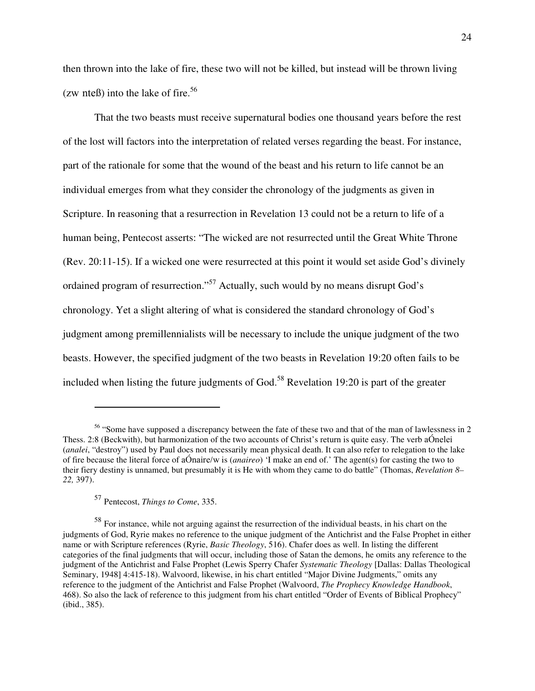then thrown into the lake of fire, these two will not be killed, but instead will be thrown living (zw nteß) into the lake of fire.<sup>56</sup>

That the two beasts must receive supernatural bodies one thousand years before the rest of the lost will factors into the interpretation of related verses regarding the beast. For instance, part of the rationale for some that the wound of the beast and his return to life cannot be an individual emerges from what they consider the chronology of the judgments as given in Scripture. In reasoning that a resurrection in Revelation 13 could not be a return to life of a human being, Pentecost asserts: "The wicked are not resurrected until the Great White Throne (Rev. 20:11-15). If a wicked one were resurrected at this point it would set aside God's divinely ordained program of resurrection."<sup>57</sup> Actually, such would by no means disrupt God's chronology. Yet a slight altering of what is considered the standard chronology of God's judgment among premillennialists will be necessary to include the unique judgment of the two beasts. However, the specified judgment of the two beasts in Revelation 19:20 often fails to be included when listing the future judgments of God.<sup>58</sup> Revelation 19:20 is part of the greater

<sup>56</sup> "Some have supposed a discrepancy between the fate of these two and that of the man of lawlessness in 2 Thess. 2:8 (Beckwith), but harmonization of the two accounts of Christ's return is quite easy. The verb aÓnelei (*analei*, "destroy") used by Paul does not necessarily mean physical death. It can also refer to relegation to the lake of fire because the literal force of aÓnaire/w is (*anaireo*) 'I make an end of.' The agent(s) for casting the two to their fiery destiny is unnamed, but presumably it is He with whom they came to do battle" (Thomas, *Revelation 8– 22,* 397).

<sup>57</sup> Pentecost, *Things to Come*, 335.

<sup>&</sup>lt;sup>58</sup> For instance, while not arguing against the resurrection of the individual beasts, in his chart on the judgments of God, Ryrie makes no reference to the unique judgment of the Antichrist and the False Prophet in either name or with Scripture references (Ryrie, *Basic Theology*, 516). Chafer does as well. In listing the different categories of the final judgments that will occur, including those of Satan the demons, he omits any reference to the judgment of the Antichrist and False Prophet (Lewis Sperry Chafer *Systematic Theology* [Dallas: Dallas Theological Seminary, 1948] 4:415-18). Walvoord, likewise, in his chart entitled "Major Divine Judgments," omits any reference to the judgment of the Antichrist and False Prophet (Walvoord, *The Prophecy Knowledge Handbook*, 468). So also the lack of reference to this judgment from his chart entitled "Order of Events of Biblical Prophecy" (ibid., 385).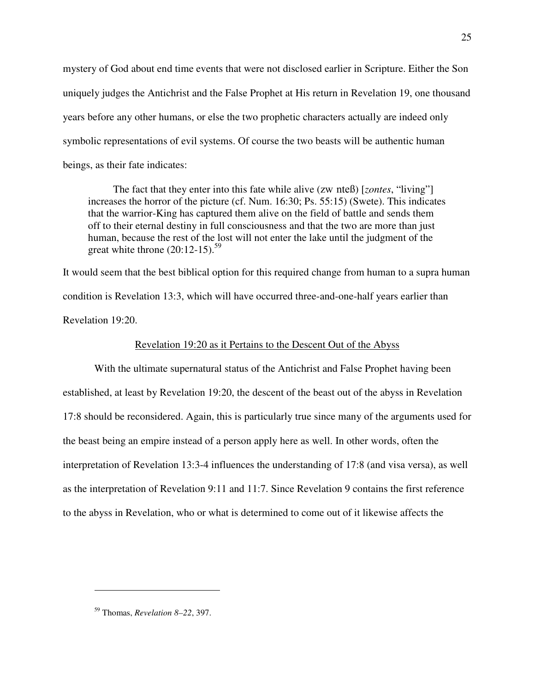mystery of God about end time events that were not disclosed earlier in Scripture. Either the Son uniquely judges the Antichrist and the False Prophet at His return in Revelation 19, one thousand years before any other humans, or else the two prophetic characters actually are indeed only symbolic representations of evil systems. Of course the two beasts will be authentic human beings, as their fate indicates:

The fact that they enter into this fate while alive (zw
nteß) [*zontes*, "living"] increases the horror of the picture (cf. Num. 16:30; Ps. 55:15) (Swete). This indicates that the warrior-King has captured them alive on the field of battle and sends them off to their eternal destiny in full consciousness and that the two are more than just human, because the rest of the lost will not enter the lake until the judgment of the great white throne  $(20:12-15).$ <sup>59</sup>

It would seem that the best biblical option for this required change from human to a supra human condition is Revelation 13:3, which will have occurred three-and-one-half years earlier than Revelation 19:20.

### Revelation 19:20 as it Pertains to the Descent Out of the Abyss

With the ultimate supernatural status of the Antichrist and False Prophet having been established, at least by Revelation 19:20, the descent of the beast out of the abyss in Revelation 17:8 should be reconsidered. Again, this is particularly true since many of the arguments used for the beast being an empire instead of a person apply here as well. In other words, often the interpretation of Revelation 13:3-4 influences the understanding of 17:8 (and visa versa), as well as the interpretation of Revelation 9:11 and 11:7. Since Revelation 9 contains the first reference to the abyss in Revelation, who or what is determined to come out of it likewise affects the

<sup>59</sup> Thomas, *Revelation 8–22*, 397.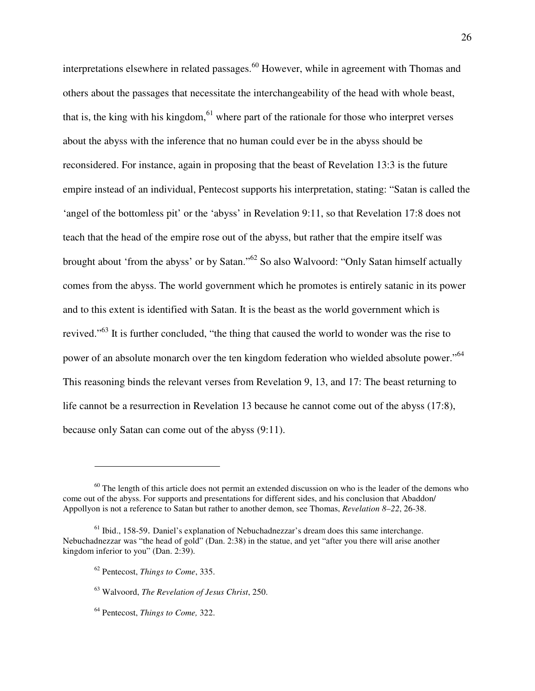interpretations elsewhere in related passages.<sup>60</sup> However, while in agreement with Thomas and others about the passages that necessitate the interchangeability of the head with whole beast, that is, the king with his kingdom, $61$  where part of the rationale for those who interpret verses about the abyss with the inference that no human could ever be in the abyss should be reconsidered. For instance, again in proposing that the beast of Revelation 13:3 is the future empire instead of an individual, Pentecost supports his interpretation, stating: "Satan is called the 'angel of the bottomless pit' or the 'abyss' in Revelation 9:11, so that Revelation 17:8 does not teach that the head of the empire rose out of the abyss, but rather that the empire itself was brought about 'from the abyss' or by Satan."<sup>62</sup> So also Walvoord: "Only Satan himself actually comes from the abyss. The world government which he promotes is entirely satanic in its power and to this extent is identified with Satan. It is the beast as the world government which is revived."<sup>63</sup> It is further concluded, "the thing that caused the world to wonder was the rise to power of an absolute monarch over the ten kingdom federation who wielded absolute power."<sup>64</sup> This reasoning binds the relevant verses from Revelation 9, 13, and 17: The beast returning to life cannot be a resurrection in Revelation 13 because he cannot come out of the abyss (17:8), because only Satan can come out of the abyss (9:11).

 $60$  The length of this article does not permit an extended discussion on who is the leader of the demons who come out of the abyss. For supports and presentations for different sides, and his conclusion that Abaddon/ Appollyon is not a reference to Satan but rather to another demon, see Thomas, *Revelation 8–22*, 26-38.

 $<sup>61</sup>$  Ibid., 158-59. Daniel's explanation of Nebuchadnezzar's dream does this same interchange.</sup> Nebuchadnezzar was "the head of gold" (Dan. 2:38) in the statue, and yet "after you there will arise another kingdom inferior to you" (Dan. 2:39).

<sup>62</sup> Pentecost, *Things to Come*, 335.

<sup>63</sup> Walvoord, *The Revelation of Jesus Christ*, 250.

<sup>64</sup> Pentecost, *Things to Come,* 322.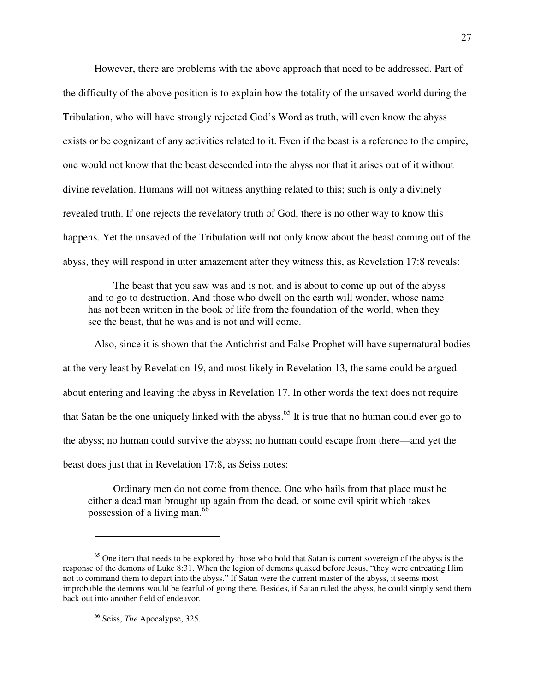However, there are problems with the above approach that need to be addressed. Part of the difficulty of the above position is to explain how the totality of the unsaved world during the Tribulation, who will have strongly rejected God's Word as truth, will even know the abyss exists or be cognizant of any activities related to it. Even if the beast is a reference to the empire, one would not know that the beast descended into the abyss nor that it arises out of it without divine revelation. Humans will not witness anything related to this; such is only a divinely revealed truth. If one rejects the revelatory truth of God, there is no other way to know this happens. Yet the unsaved of the Tribulation will not only know about the beast coming out of the abyss, they will respond in utter amazement after they witness this, as Revelation 17:8 reveals:

The beast that you saw was and is not, and is about to come up out of the abyss and to go to destruction. And those who dwell on the earth will wonder, whose name has not been written in the book of life from the foundation of the world, when they see the beast, that he was and is not and will come.

Also, since it is shown that the Antichrist and False Prophet will have supernatural bodies at the very least by Revelation 19, and most likely in Revelation 13, the same could be argued about entering and leaving the abyss in Revelation 17. In other words the text does not require that Satan be the one uniquely linked with the abyss.<sup>65</sup> It is true that no human could ever go to the abyss; no human could survive the abyss; no human could escape from there—and yet the beast does just that in Revelation 17:8, as Seiss notes:

Ordinary men do not come from thence. One who hails from that place must be either a dead man brought up again from the dead, or some evil spirit which takes possession of a living man.<sup>66</sup>

<sup>&</sup>lt;sup>65</sup> One item that needs to be explored by those who hold that Satan is current sovereign of the abyss is the response of the demons of Luke 8:31. When the legion of demons quaked before Jesus, "they were entreating Him not to command them to depart into the abyss." If Satan were the current master of the abyss, it seems most improbable the demons would be fearful of going there. Besides, if Satan ruled the abyss, he could simply send them back out into another field of endeavor.

<sup>66</sup> Seiss, *The* Apocalypse, 325.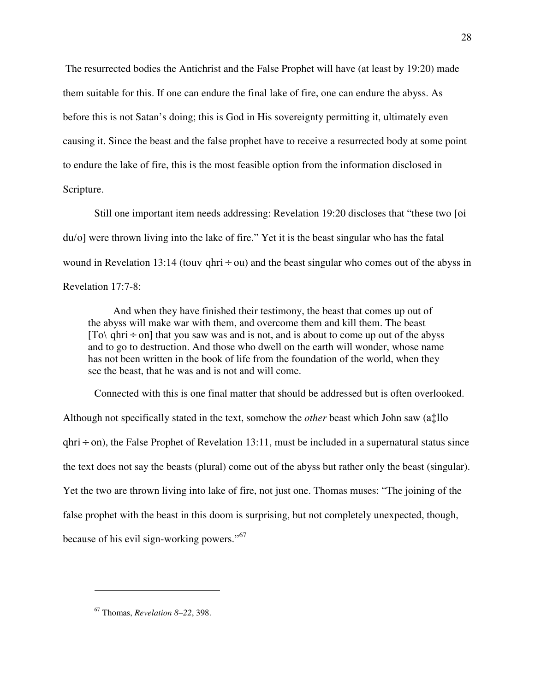The resurrected bodies the Antichrist and the False Prophet will have (at least by 19:20) made them suitable for this. If one can endure the final lake of fire, one can endure the abyss. As before this is not Satan's doing; this is God in His sovereignty permitting it, ultimately even causing it. Since the beast and the false prophet have to receive a resurrected body at some point to endure the lake of fire, this is the most feasible option from the information disclosed in Scripture.

Still one important item needs addressing: Revelation 19:20 discloses that "these two [oi
 du/o] were thrown living into the lake of fire." Yet it is the beast singular who has the fatal wound in Revelation 13:14 (touv qhri  $\div$  ou) and the beast singular who comes out of the abyss in Revelation 17:7-8:

And when they have finished their testimony, the beast that comes up out of the abyss will make war with them, and overcome them and kill them. The beast [To\ qhri  $\div$  on] that you saw was and is not, and is about to come up out of the abyss and to go to destruction. And those who dwell on the earth will wonder, whose name has not been written in the book of life from the foundation of the world, when they see the beast, that he was and is not and will come.

Connected with this is one final matter that should be addressed but is often overlooked. Although not specifically stated in the text, somehow the *other* beast which John saw (a‡llo  $g(x) \div (x)$ , the False Prophet of Revelation 13:11, must be included in a supernatural status since the text does not say the beasts (plural) come out of the abyss but rather only the beast (singular). Yet the two are thrown living into lake of fire, not just one. Thomas muses: "The joining of the false prophet with the beast in this doom is surprising, but not completely unexpected, though, because of his evil sign-working powers."<sup>67</sup>

<sup>67</sup> Thomas, *Revelation 8–22*, 398.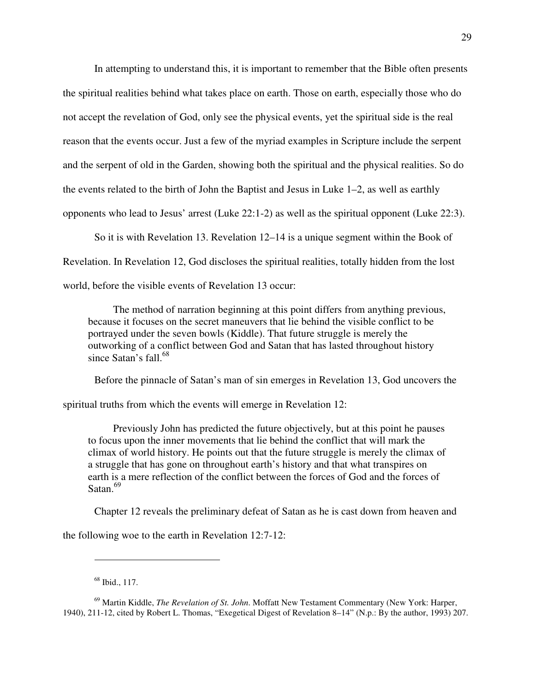In attempting to understand this, it is important to remember that the Bible often presents the spiritual realities behind what takes place on earth. Those on earth, especially those who do not accept the revelation of God, only see the physical events, yet the spiritual side is the real reason that the events occur. Just a few of the myriad examples in Scripture include the serpent and the serpent of old in the Garden, showing both the spiritual and the physical realities. So do the events related to the birth of John the Baptist and Jesus in Luke 1–2, as well as earthly opponents who lead to Jesus' arrest (Luke 22:1-2) as well as the spiritual opponent (Luke 22:3).

So it is with Revelation 13. Revelation 12–14 is a unique segment within the Book of Revelation. In Revelation 12, God discloses the spiritual realities, totally hidden from the lost world, before the visible events of Revelation 13 occur:

The method of narration beginning at this point differs from anything previous, because it focuses on the secret maneuvers that lie behind the visible conflict to be portrayed under the seven bowls (Kiddle). That future struggle is merely the outworking of a conflict between God and Satan that has lasted throughout history since Satan's  $fall<sup>68</sup>$ .

Before the pinnacle of Satan's man of sin emerges in Revelation 13, God uncovers the

spiritual truths from which the events will emerge in Revelation 12:

Previously John has predicted the future objectively, but at this point he pauses to focus upon the inner movements that lie behind the conflict that will mark the climax of world history. He points out that the future struggle is merely the climax of a struggle that has gone on throughout earth's history and that what transpires on earth is a mere reflection of the conflict between the forces of God and the forces of Satan.<sup>69</sup>

Chapter 12 reveals the preliminary defeat of Satan as he is cast down from heaven and

the following woe to the earth in Revelation 12:7-12:

<sup>68</sup> Ibid., 117.

<sup>69</sup> Martin Kiddle, *The Revelation of St. John*. Moffatt New Testament Commentary (New York: Harper, 1940), 211-12, cited by Robert L. Thomas, "Exegetical Digest of Revelation 8–14" (N.p.: By the author, 1993) 207.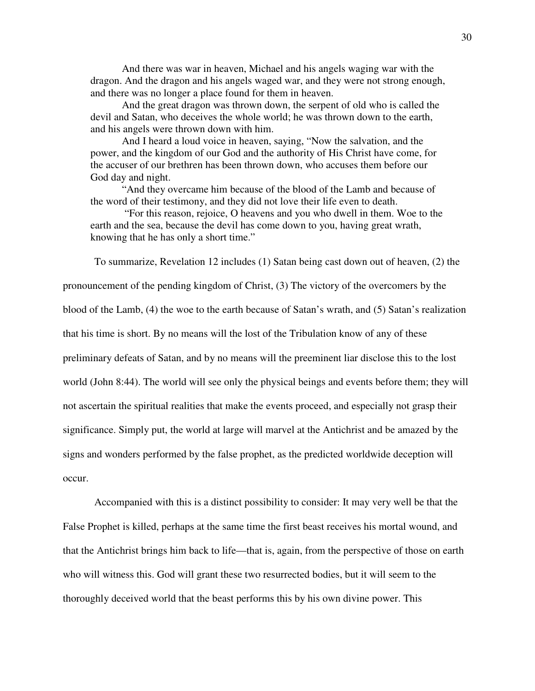And there was war in heaven, Michael and his angels waging war with the dragon. And the dragon and his angels waged war, and they were not strong enough, and there was no longer a place found for them in heaven.

And the great dragon was thrown down, the serpent of old who is called the devil and Satan, who deceives the whole world; he was thrown down to the earth, and his angels were thrown down with him.

And I heard a loud voice in heaven, saying, "Now the salvation, and the power, and the kingdom of our God and the authority of His Christ have come, for the accuser of our brethren has been thrown down, who accuses them before our God day and night.

"And they overcame him because of the blood of the Lamb and because of the word of their testimony, and they did not love their life even to death.

 "For this reason, rejoice, O heavens and you who dwell in them. Woe to the earth and the sea, because the devil has come down to you, having great wrath, knowing that he has only a short time."

To summarize, Revelation 12 includes (1) Satan being cast down out of heaven, (2) the

pronouncement of the pending kingdom of Christ, (3) The victory of the overcomers by the

blood of the Lamb, (4) the woe to the earth because of Satan's wrath, and (5) Satan's realization

that his time is short. By no means will the lost of the Tribulation know of any of these

preliminary defeats of Satan, and by no means will the preeminent liar disclose this to the lost

world (John 8:44). The world will see only the physical beings and events before them; they will

not ascertain the spiritual realities that make the events proceed, and especially not grasp their

significance. Simply put, the world at large will marvel at the Antichrist and be amazed by the

signs and wonders performed by the false prophet, as the predicted worldwide deception will

occur.

Accompanied with this is a distinct possibility to consider: It may very well be that the False Prophet is killed, perhaps at the same time the first beast receives his mortal wound, and that the Antichrist brings him back to life—that is, again, from the perspective of those on earth who will witness this. God will grant these two resurrected bodies, but it will seem to the thoroughly deceived world that the beast performs this by his own divine power. This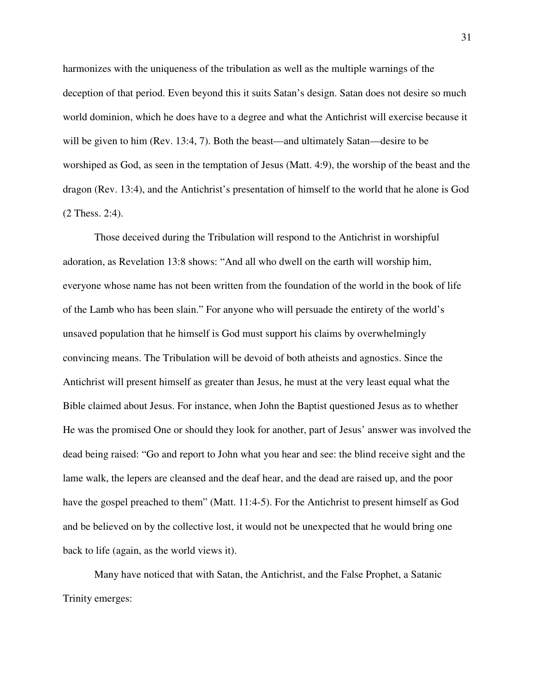harmonizes with the uniqueness of the tribulation as well as the multiple warnings of the deception of that period. Even beyond this it suits Satan's design. Satan does not desire so much world dominion, which he does have to a degree and what the Antichrist will exercise because it will be given to him (Rev. 13:4, 7). Both the beast—and ultimately Satan—desire to be worshiped as God, as seen in the temptation of Jesus (Matt. 4:9), the worship of the beast and the dragon (Rev. 13:4), and the Antichrist's presentation of himself to the world that he alone is God (2 Thess. 2:4).

Those deceived during the Tribulation will respond to the Antichrist in worshipful adoration, as Revelation 13:8 shows: "And all who dwell on the earth will worship him, everyone whose name has not been written from the foundation of the world in the book of life of the Lamb who has been slain." For anyone who will persuade the entirety of the world's unsaved population that he himself is God must support his claims by overwhelmingly convincing means. The Tribulation will be devoid of both atheists and agnostics. Since the Antichrist will present himself as greater than Jesus, he must at the very least equal what the Bible claimed about Jesus. For instance, when John the Baptist questioned Jesus as to whether He was the promised One or should they look for another, part of Jesus' answer was involved the dead being raised: "Go and report to John what you hear and see: the blind receive sight and the lame walk, the lepers are cleansed and the deaf hear, and the dead are raised up, and the poor have the gospel preached to them" (Matt. 11:4-5). For the Antichrist to present himself as God and be believed on by the collective lost, it would not be unexpected that he would bring one back to life (again, as the world views it).

Many have noticed that with Satan, the Antichrist, and the False Prophet, a Satanic Trinity emerges: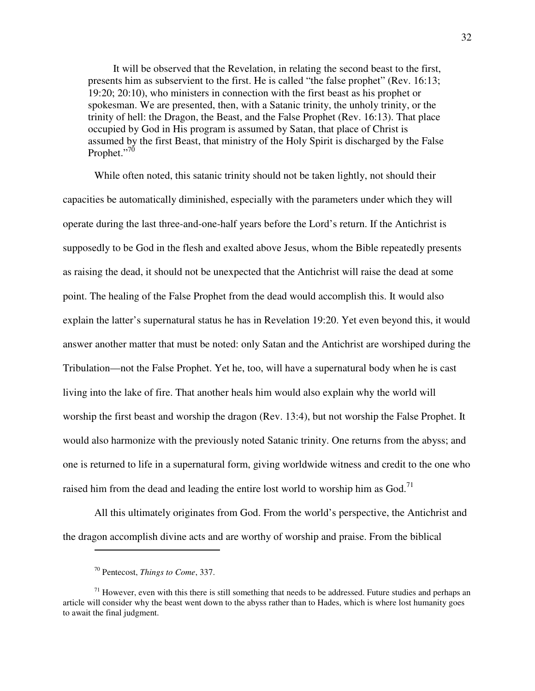It will be observed that the Revelation, in relating the second beast to the first, presents him as subservient to the first. He is called "the false prophet" (Rev. 16:13; 19:20; 20:10), who ministers in connection with the first beast as his prophet or spokesman. We are presented, then, with a Satanic trinity, the unholy trinity, or the trinity of hell: the Dragon, the Beast, and the False Prophet (Rev. 16:13). That place occupied by God in His program is assumed by Satan, that place of Christ is assumed by the first Beast, that ministry of the Holy Spirit is discharged by the False Prophet."<sup>70</sup>

While often noted, this satanic trinity should not be taken lightly, not should their capacities be automatically diminished, especially with the parameters under which they will operate during the last three-and-one-half years before the Lord's return. If the Antichrist is supposedly to be God in the flesh and exalted above Jesus, whom the Bible repeatedly presents as raising the dead, it should not be unexpected that the Antichrist will raise the dead at some point. The healing of the False Prophet from the dead would accomplish this. It would also explain the latter's supernatural status he has in Revelation 19:20. Yet even beyond this, it would answer another matter that must be noted: only Satan and the Antichrist are worshiped during the Tribulation—not the False Prophet. Yet he, too, will have a supernatural body when he is cast living into the lake of fire. That another heals him would also explain why the world will worship the first beast and worship the dragon (Rev. 13:4), but not worship the False Prophet. It would also harmonize with the previously noted Satanic trinity. One returns from the abyss; and one is returned to life in a supernatural form, giving worldwide witness and credit to the one who raised him from the dead and leading the entire lost world to worship him as  $God.<sup>71</sup>$ 

All this ultimately originates from God. From the world's perspective, the Antichrist and the dragon accomplish divine acts and are worthy of worship and praise. From the biblical

<sup>70</sup> Pentecost, *Things to Come*, 337.

 $71$  However, even with this there is still something that needs to be addressed. Future studies and perhaps an article will consider why the beast went down to the abyss rather than to Hades, which is where lost humanity goes to await the final judgment.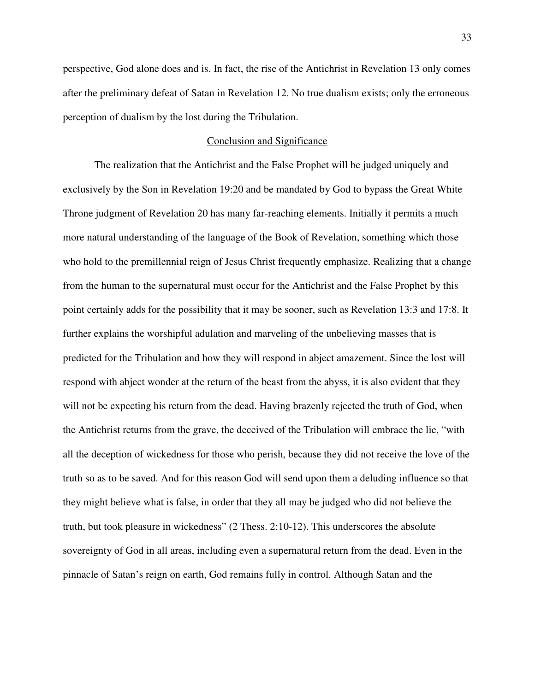perspective, God alone does and is. In fact, the rise of the Antichrist in Revelation 13 only comes after the preliminary defeat of Satan in Revelation 12. No true dualism exists; only the erroneous perception of dualism by the lost during the Tribulation.

### Conclusion and Significance

The realization that the Antichrist and the False Prophet will be judged uniquely and exclusively by the Son in Revelation 19:20 and be mandated by God to bypass the Great White Throne judgment of Revelation 20 has many far-reaching elements. Initially it permits a much more natural understanding of the language of the Book of Revelation, something which those who hold to the premillennial reign of Jesus Christ frequently emphasize. Realizing that a change from the human to the supernatural must occur for the Antichrist and the False Prophet by this point certainly adds for the possibility that it may be sooner, such as Revelation 13:3 and 17:8. It further explains the worshipful adulation and marveling of the unbelieving masses that is predicted for the Tribulation and how they will respond in abject amazement. Since the lost will respond with abject wonder at the return of the beast from the abyss, it is also evident that they will not be expecting his return from the dead. Having brazenly rejected the truth of God, when the Antichrist returns from the grave, the deceived of the Tribulation will embrace the lie, "with all the deception of wickedness for those who perish, because they did not receive the love of the truth so as to be saved. And for this reason God will send upon them a deluding influence so that they might believe what is false, in order that they all may be judged who did not believe the truth, but took pleasure in wickedness" (2 Thess. 2:10-12). This underscores the absolute sovereignty of God in all areas, including even a supernatural return from the dead. Even in the pinnacle of Satan's reign on earth, God remains fully in control. Although Satan and the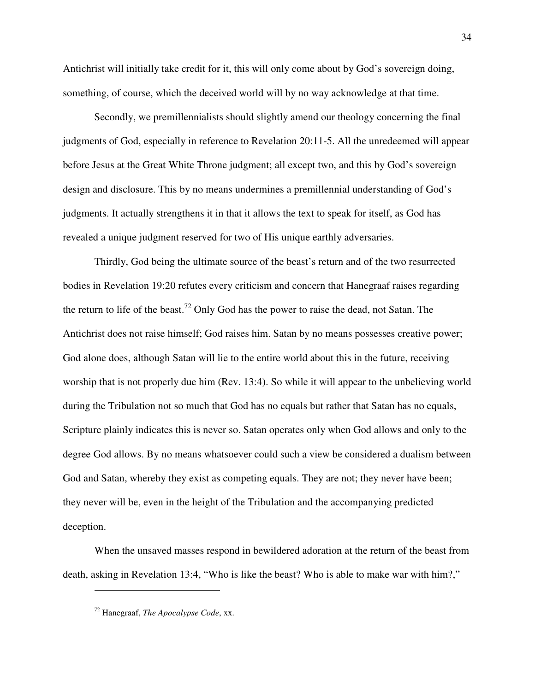Antichrist will initially take credit for it, this will only come about by God's sovereign doing, something, of course, which the deceived world will by no way acknowledge at that time.

Secondly, we premillennialists should slightly amend our theology concerning the final judgments of God, especially in reference to Revelation 20:11-5. All the unredeemed will appear before Jesus at the Great White Throne judgment; all except two, and this by God's sovereign design and disclosure. This by no means undermines a premillennial understanding of God's judgments. It actually strengthens it in that it allows the text to speak for itself, as God has revealed a unique judgment reserved for two of His unique earthly adversaries.

Thirdly, God being the ultimate source of the beast's return and of the two resurrected bodies in Revelation 19:20 refutes every criticism and concern that Hanegraaf raises regarding the return to life of the beast.<sup>72</sup> Only God has the power to raise the dead, not Satan. The Antichrist does not raise himself; God raises him. Satan by no means possesses creative power; God alone does, although Satan will lie to the entire world about this in the future, receiving worship that is not properly due him (Rev. 13:4). So while it will appear to the unbelieving world during the Tribulation not so much that God has no equals but rather that Satan has no equals, Scripture plainly indicates this is never so. Satan operates only when God allows and only to the degree God allows. By no means whatsoever could such a view be considered a dualism between God and Satan, whereby they exist as competing equals. They are not; they never have been; they never will be, even in the height of the Tribulation and the accompanying predicted deception.

When the unsaved masses respond in bewildered adoration at the return of the beast from death, asking in Revelation 13:4, "Who is like the beast? Who is able to make war with him?,"

<sup>72</sup> Hanegraaf, *The Apocalypse Code*, xx.